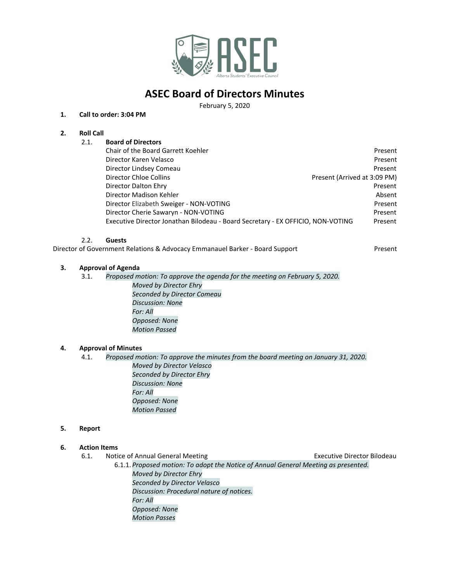

# **ASEC Board of Directors Minutes**

February 5, 2020

### **1. Call to order: 3:04 PM**

### **2. Roll Call**

| 2.1. | <b>Board of Directors</b>                                                       |                              |
|------|---------------------------------------------------------------------------------|------------------------------|
|      | Chair of the Board Garrett Koehler                                              | Present                      |
|      | Director Karen Velasco                                                          | Present                      |
|      | Director Lindsey Comeau                                                         | Present                      |
|      | Director Chloe Collins                                                          | Present (Arrived at 3:09 PM) |
|      | Director Dalton Ehry                                                            | Present                      |
|      | Director Madison Kehler                                                         | Absent                       |
|      | Director Elizabeth Sweiger - NON-VOTING                                         | Present                      |
|      | Director Cherie Sawaryn - NON-VOTING                                            | Present                      |
|      | Executive Director Jonathan Bilodeau - Board Secretary - EX OFFICIO, NON-VOTING | Present                      |

#### 2.2. **Guests**

Director of Government Relations & Advocacy Emmanauel Barker - Board Support Present

## **3. Approval of Agenda**

3.1. *Proposed motion: To approve the agenda for the meeting on February 5, 2020. Moved by Director Ehry Seconded by Director Comeau Discussion: None For: All Opposed: None Motion Passed*

#### **4. Approval of Minutes**

4.1. *Proposed motion: To approve the minutes from the board meeting on January 31, 2020. Moved by Director Velasco Seconded by Director Ehry Discussion: None For: All Opposed: None Motion Passed*

#### **5. Report**

#### **6. Action Items**

- 6.1. Notice of Annual General Meeting Theorem 2012 Executive Director Bilodeau 6.1.1. *Proposed motion: To adopt the Notice of Annual General Meeting as presented. Moved by Director Ehry Seconded by Director Velasco Discussion: Procedural nature of notices. For: All*
	- *Opposed: None Motion Passes*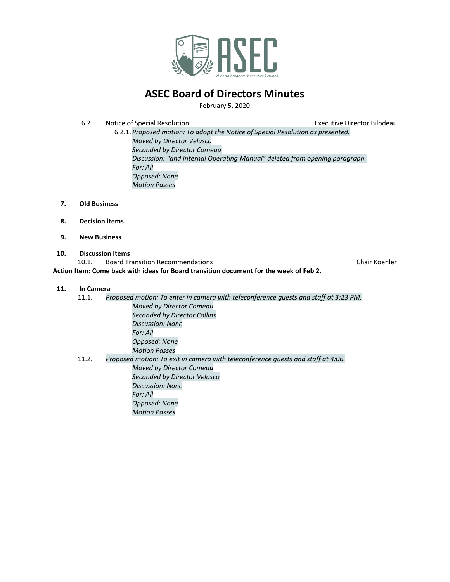

# **ASEC Board of Directors Minutes**

February 5, 2020

6.2. Notice of Special Resolution Executive Director Bilodeau

- 6.2.1. *Proposed motion: To adopt the Notice of Special Resolution as presented. Moved by Director Velasco Seconded by Director Comeau Discussion: "and Internal Operating Manual" deleted from opening paragraph. For: All Opposed: None Motion Passes*
- **7. Old Business**
- **8. Decision items**
- **9. New Business**
- **10. Discussion Items**

10.1. Board Transition Recommendations Chair Koehler

**Action Item: Come back with ideas for Board transition document for the week of Feb 2.**

### **11. In Camera**

| 11.1.                                                                                     | Proposed motion: To enter in camera with teleconference quests and staff at 3:23 PM. |  |
|-------------------------------------------------------------------------------------------|--------------------------------------------------------------------------------------|--|
|                                                                                           | Moved by Director Comeau                                                             |  |
|                                                                                           | Seconded by Director Collins                                                         |  |
|                                                                                           | Discussion: None                                                                     |  |
|                                                                                           | For: All                                                                             |  |
|                                                                                           | Opposed: None                                                                        |  |
|                                                                                           | <b>Motion Passes</b>                                                                 |  |
| 11.2.<br>Proposed motion: To exit in camera with teleconference quests and staff at 4:06. |                                                                                      |  |
|                                                                                           | Moved by Director Comeau                                                             |  |
|                                                                                           | Seconded by Director Velasco                                                         |  |
|                                                                                           | Discussion: None                                                                     |  |
|                                                                                           | For: All                                                                             |  |
|                                                                                           | Opposed: None                                                                        |  |
|                                                                                           | <b>Motion Passes</b>                                                                 |  |